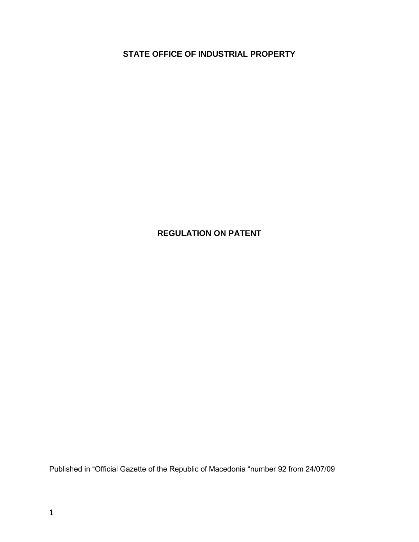**STATE OFFICE OF INDUSTRIAL PROPERTY**

# **REGULATION ON PATENT**

Published in "Official Gazette of the Republic of Macedonia "number 92 from 24/07/09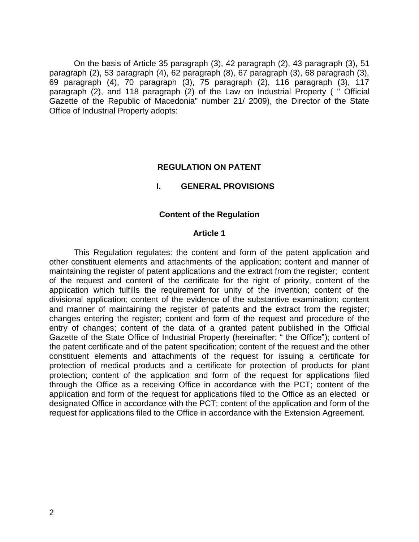On the basis of Article 35 paragraph (3), 42 paragraph (2), 43 paragraph (3), 51 paragraph (2), 53 paragraph (4), 62 paragraph (8), 67 paragraph (3), 68 paragraph (3), 69 paragraph (4), 70 paragraph (3), 75 paragraph (2), 116 paragraph (3), 117 paragraph (2), and 118 paragraph (2) of the Law on Industrial Property ( " Official Gazette of the Republic of Macedonia" number 21/ 2009), the Director of the State Office of Industrial Property adopts:

#### **REGULATION ON PATENT**

#### **I. GENERAL PROVISIONS**

#### **Content of the Regulation**

#### **Article 1**

This Regulation regulates: the content and form of the patent application and other constituent elements and attachments of the application; content and manner of maintaining the register of patent applications and the extract from the register; content of the request and content of the certificate for the right of priority, content of the application which fulfills the requirement for unity of the invention; content of the divisional application; content of the evidence of the substantive examination; content and manner of maintaining the register of patents and the extract from the register; changes entering the register; content and form of the request and procedure of the entry of changes; content of the data of a granted patent published in the Official Gazette of the State Office of Industrial Property (hereinafter: " the Office"); content of the patent certificate and of the patent specification; content of the request and the other constituent elements and attachments of the request for issuing a certificate for protection of medical products and a certificate for protection of products for plant protection; content of the application and form of the request for applications filed through the Office as a receiving Office in accordance with the PCT; content of the application and form of the request for applications filed to the Office as an elected or designated Office in accordance with the PCT; content of the application and form of the request for applications filed to the Office in accordance with the Extension Agreement.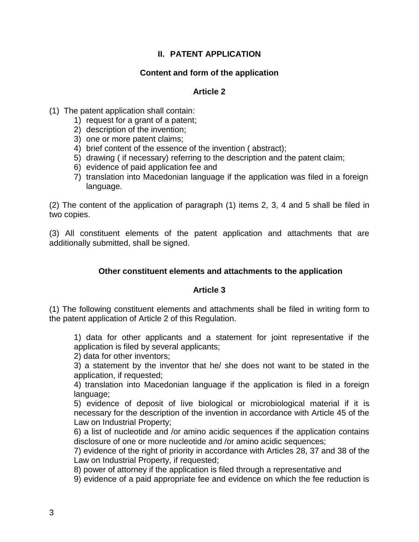## **II. PATENT APPLICATION**

## **Content and form of the application**

### **Article 2**

- (1) The patent application shall contain:
	- 1) request for a grant of a patent;
	- 2) description of the invention;
	- 3) one or more patent claims;
	- 4) brief content of the essence of the invention ( abstract);
	- 5) drawing ( if necessary) referring to the description and the patent claim;
	- 6) evidence of paid application fee and
	- 7) translation into Macedonian language if the application was filed in a foreign language.

(2) The content of the application of paragraph (1) items 2, 3, 4 and 5 shall be filed in two copies.

(3) All constituent elements of the patent application and attachments that are additionally submitted, shall be signed.

### **Other constituent elements and attachments to the application**

#### **Article 3**

(1) The following constituent elements and attachments shall be filed in writing form to the patent application of Article 2 of this Regulation.

1) data for other applicants and a statement for joint representative if the application is filed by several applicants;

2) data for other inventors;

3) a statement by the inventor that he/ she does not want to be stated in the application, if requested;

4) translation into Macedonian language if the application is filed in a foreign language;

5) evidence of deposit of live biological or microbiological material if it is necessary for the description of the invention in accordance with Article 45 of the Law on Industrial Property;

6) a list of nucleotide and /or amino acidic sequences if the application contains disclosure of one or more nucleotide and /or amino acidic sequences;

7) evidence of the right of priority in accordance with Articles 28, 37 and 38 of the Law on Industrial Property, if requested;

8) power of attorney if the application is filed through a representative and

9) evidence of a paid appropriate fee and evidence on which the fee reduction is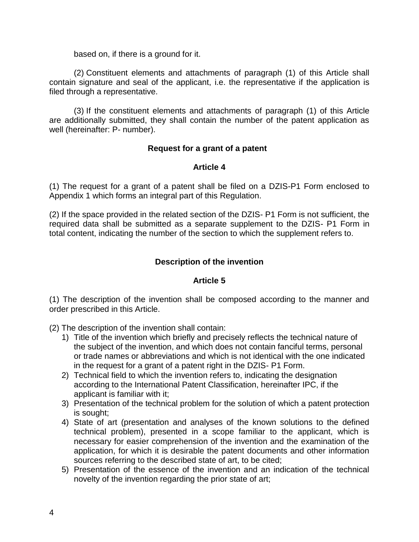based on, if there is a ground for it.

(2) Constituent elements and attachments of paragraph (1) of this Article shall contain signature and seal of the applicant, i.e. the representative if the application is filed through a representative.

(3) If the constituent elements and attachments of paragraph (1) of this Article are additionally submitted, they shall contain the number of the patent application as well (hereinafter: P- number).

#### **Request for a grant of a patent**

#### **Article 4**

(1) The request for a grant of a patent shall be filed on a DZIS-P1 Form enclosed to Appendix 1 which forms an integral part of this Regulation.

(2) If the space provided in the related section of the DZIS- P1 Form is not sufficient, the required data shall be submitted as a separate supplement to the DZIS- P1 Form in total content, indicating the number of the section to which the supplement refers to.

## **Description of the invention**

#### **Article 5**

(1) The description of the invention shall be composed according to the manner and order prescribed in this Article.

(2) The description of the invention shall contain:

- 1) Title of the invention which briefly and precisely reflects the technical nature of the subject of the invention, and which does not contain fanciful terms, personal or trade names or abbreviations and which is not identical with the one indicated in the request for a grant of a patent right in the DZIS- P1 Form.
- 2) Technical field to which the invention refers to, indicating the designation according to the International Patent Classification, hereinafter IPC, if the applicant is familiar with it;
- 3) Presentation of the technical problem for the solution of which a patent protection is sought;
- 4) State of art (presentation and analyses of the known solutions to the defined technical problem), presented in a scope familiar to the applicant, which is necessary for easier comprehension of the invention and the examination of the application, for which it is desirable the patent documents and other information sources referring to the described state of art, to be cited;
- 5) Presentation of the essence of the invention and an indication of the technical novelty of the invention regarding the prior state of art;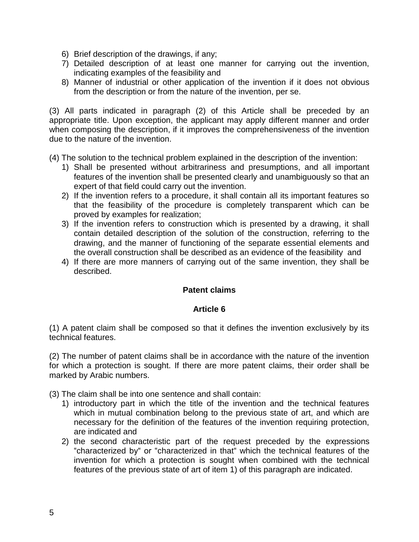- 6) Brief description of the drawings, if any;
- 7) Detailed description of at least one manner for carrying out the invention, indicating examples of the feasibility and
- 8) Manner of industrial or other application of the invention if it does not obvious from the description or from the nature of the invention, per se.

(3) All parts indicated in paragraph (2) of this Article shall be preceded by an appropriate title. Upon exception, the applicant may apply different manner and order when composing the description, if it improves the comprehensiveness of the invention due to the nature of the invention.

(4) The solution to the technical problem explained in the description of the invention:

- 1) Shall be presented without arbitrariness and presumptions, and all important features of the invention shall be presented clearly and unambiguously so that an expert of that field could carry out the invention.
- 2) If the invention refers to a procedure, it shall contain all its important features so that the feasibility of the procedure is completely transparent which can be proved by examples for realization;
- 3) If the invention refers to construction which is presented by a drawing, it shall contain detailed description of the solution of the construction, referring to the drawing, and the manner of functioning of the separate essential elements and the overall construction shall be described as an evidence of the feasibility and
- 4) If there are more manners of carrying out of the same invention, they shall be described.

## **Patent claims**

#### **Article 6**

(1) A patent claim shall be composed so that it defines the invention exclusively by its technical features.

(2) The number of patent claims shall be in accordance with the nature of the invention for which a protection is sought. If there are more patent claims, their order shall be marked by Arabic numbers.

(3) The claim shall be into one sentence and shall contain:

- 1) introductory part in which the title of the invention and the technical features which in mutual combination belong to the previous state of art, and which are necessary for the definition of the features of the invention requiring protection, are indicated and
- 2) the second characteristic part of the request preceded by the expressions "characterized by" or "characterized in that" which the technical features of the invention for which a protection is sought when combined with the technical features of the previous state of art of item 1) of this paragraph are indicated.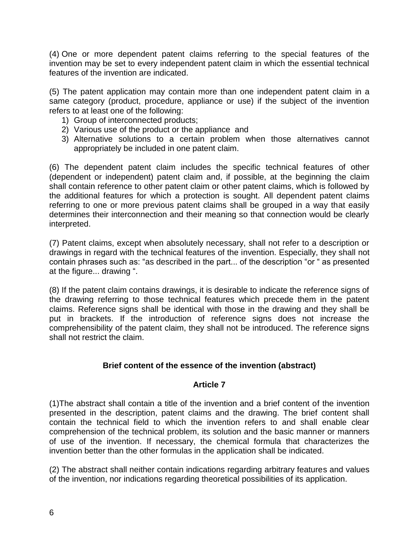(4) One or more dependent patent claims referring to the special features of the invention may be set to every independent patent claim in which the essential technical features of the invention are indicated.

(5) The patent application may contain more than one independent patent claim in a same category (product, procedure, appliance or use) if the subject of the invention refers to at least one of the following:

- 1) Group of interconnected products;
- 2) Various use of the product or the appliance and
- 3) Alternative solutions to a certain problem when those alternatives cannot appropriately be included in one patent claim.

(6) The dependent patent claim includes the specific technical features of other (dependent or independent) patent claim and, if possible, at the beginning the claim shall contain reference to other patent claim or other patent claims, which is followed by the additional features for which a protection is sought. All dependent patent claims referring to one or more previous patent claims shall be grouped in a way that easily determines their interconnection and their meaning so that connection would be clearly interpreted.

(7) Patent claims, except when absolutely necessary, shall not refer to a description or drawings in regard with the technical features of the invention. Especially, they shall not contain phrases such as: "as described in the part... of the description "or " as presented at the figure... drawing ".

(8) If the patent claim contains drawings, it is desirable to indicate the reference signs of the drawing referring to those technical features which precede them in the patent claims. Reference signs shall be identical with those in the drawing and they shall be put in brackets. If the introduction of reference signs does not increase the comprehensibility of the patent claim, they shall not be introduced. The reference signs shall not restrict the claim.

## **Brief content of the essence of the invention (abstract)**

## **Article 7**

(1)The abstract shall contain a title of the invention and a brief content of the invention presented in the description, patent claims and the drawing. The brief content shall contain the technical field to which the invention refers to and shall enable clear comprehension of the technical problem, its solution and the basic manner or manners of use of the invention. If necessary, the chemical formula that characterizes the invention better than the other formulas in the application shall be indicated.

(2) The abstract shall neither contain indications regarding arbitrary features and values of the invention, nor indications regarding theoretical possibilities of its application.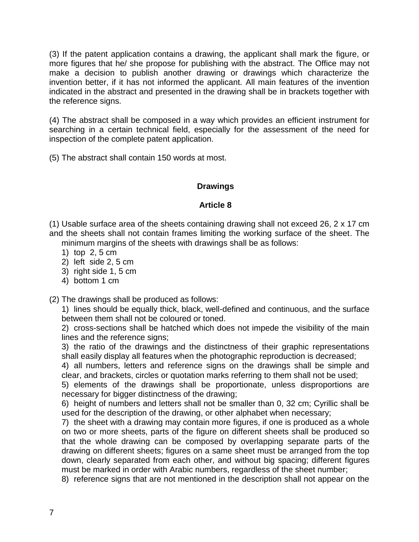(3) If the patent application contains a drawing, the applicant shall mark the figure, or more figures that he/ she propose for publishing with the abstract. The Office may not make a decision to publish another drawing or drawings which characterize the invention better, if it has not informed the applicant. All main features of the invention indicated in the abstract and presented in the drawing shall be in brackets together with the reference signs.

(4) The abstract shall be composed in a way which provides an efficient instrument for searching in a certain technical field, especially for the assessment of the need for inspection of the complete patent application.

(5) The abstract shall contain 150 words at most.

## **Drawings**

#### **Article 8**

(1) Usable surface area of the sheets containing drawing shall not exceed 26, 2 x 17 cm and the sheets shall not contain frames limiting the working surface of the sheet. The minimum margins of the sheets with drawings shall be as follows:

- 1) top 2, 5 cm
- 2) left side 2, 5 cm
- 3) right side 1, 5 cm
- 4) bottom 1 cm

(2) The drawings shall be produced as follows:

1) lines should be equally thick, black, well-defined and continuous, and the surface between them shall not be coloured or toned.

2) cross-sections shall be hatched which does not impede the visibility of the main lines and the reference signs;

3) the ratio of the drawings and the distinctness of their graphic representations shall easily display all features when the photographic reproduction is decreased;

4) all numbers, letters and reference signs on the drawings shall be simple and clear, and brackets, circles or quotation marks referring to them shall not be used;

5) elements of the drawings shall be proportionate, unless disproportions are necessary for bigger distinctness of the drawing;

6) height of numbers and letters shall not be smaller than 0, 32 cm; Cyrillic shall be used for the description of the drawing, or other alphabet when necessary;

7) the sheet with a drawing may contain more figures, if one is produced as a whole on two or more sheets, parts of the figure on different sheets shall be produced so that the whole drawing can be composed by overlapping separate parts of the drawing on different sheets; figures on a same sheet must be arranged from the top down, clearly separated from each other, and without big spacing; different figures must be marked in order with Arabic numbers, regardless of the sheet number;

8) reference signs that are not mentioned in the description shall not appear on the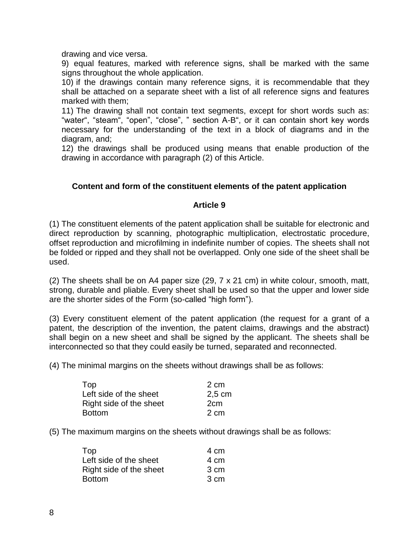drawing and vice versa.

9) equal features, marked with reference signs, shall be marked with the same signs throughout the whole application.

10) if the drawings contain many reference signs, it is recommendable that they shall be attached on a separate sheet with a list of all reference signs and features marked with them;

11) The drawing shall not contain text segments, except for short words such as: "water", "steam", "open", "close", " section A-B", or it can contain short key words necessary for the understanding of the text in a block of diagrams and in the diagram, and;

12) the drawings shall be produced using means that enable production of the drawing in accordance with paragraph (2) of this Article.

### **Content and form of the constituent elements of the patent application**

#### **Article 9**

(1) The constituent elements of the patent application shall be suitable for electronic and direct reproduction by scanning, photographic multiplication, electrostatic procedure, offset reproduction and microfilming in indefinite number of copies. The sheets shall not be folded or ripped and they shall not be overlapped. Only one side of the sheet shall be used.

(2) The sheets shall be on A4 paper size (29, 7 x 21 cm) in white colour, smooth, matt, strong, durable and pliable. Every sheet shall be used so that the upper and lower side are the shorter sides of the Form (so-called "high form").

(3) Every constituent element of the patent application (the request for a grant of a patent, the description of the invention, the patent claims, drawings and the abstract) shall begin on a new sheet and shall be signed by the applicant. The sheets shall be interconnected so that they could easily be turned, separated and reconnected.

(4) The minimal margins on the sheets without drawings shall be as follows:

| Top                     | 2 cm            |
|-------------------------|-----------------|
| Left side of the sheet  | $2,5$ cm        |
| Right side of the sheet | 2 <sub>cm</sub> |
| <b>Bottom</b>           | 2 cm            |

(5) The maximum margins on the sheets without drawings shall be as follows:

| Top                     | 4 cm |
|-------------------------|------|
| Left side of the sheet  | 4 cm |
| Right side of the sheet | 3 cm |
| <b>Bottom</b>           | 3 cm |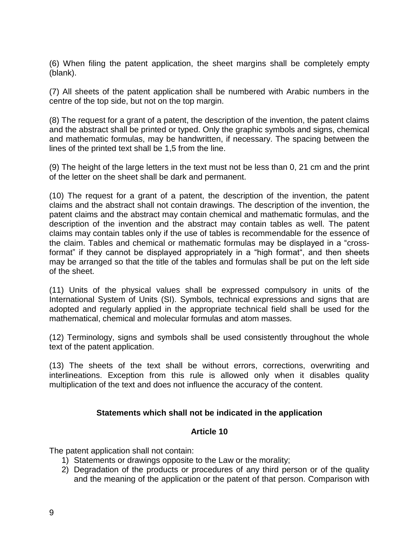(6) When filing the patent application, the sheet margins shall be completely empty (blank).

(7) All sheets of the patent application shall be numbered with Arabic numbers in the centre of the top side, but not on the top margin.

(8) The request for a grant of a patent, the description of the invention, the patent claims and the abstract shall be printed or typed. Only the graphic symbols and signs, chemical and mathematic formulas, may be handwritten, if necessary. The spacing between the lines of the printed text shall be 1,5 from the line.

(9) The height of the large letters in the text must not be less than 0, 21 cm and the print of the letter on the sheet shall be dark and permanent.

(10) The request for a grant of a patent, the description of the invention, the patent claims and the abstract shall not contain drawings. The description of the invention, the patent claims and the abstract may contain chemical and mathematic formulas, and the description of the invention and the abstract may contain tables as well. The patent claims may contain tables only if the use of tables is recommendable for the essence of the claim. Tables and chemical or mathematic formulas may be displayed in a "crossformat" if they cannot be displayed appropriately in a "high format", and then sheets may be arranged so that the title of the tables and formulas shall be put on the left side of the sheet.

(11) Units of the physical values shall be expressed compulsory in units of the International System of Units (SI). Symbols, technical expressions and signs that are adopted and regularly applied in the appropriate technical field shall be used for the mathematical, chemical and molecular formulas and atom masses.

(12) Terminology, signs and symbols shall be used consistently throughout the whole text of the patent application.

(13) The sheets of the text shall be without errors, corrections, overwriting and interlineations. Exception from this rule is allowed only when it disables quality multiplication of the text and does not influence the accuracy of the content.

## **Statements which shall not be indicated in the application**

#### **Article 10**

The patent application shall not contain:

- 1) Statements or drawings opposite to the Law or the morality;
- 2) Degradation of the products or procedures of any third person or of the quality and the meaning of the application or the patent of that person. Comparison with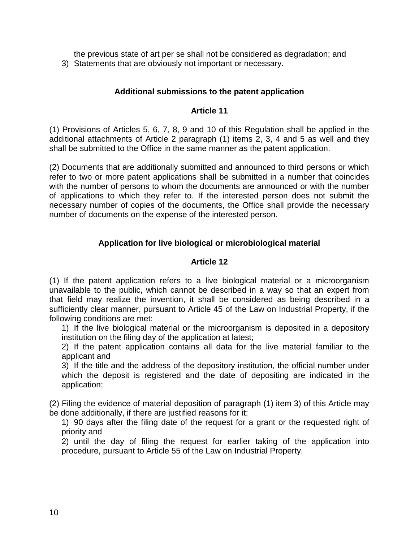the previous state of art per se shall not be considered as degradation; and 3) Statements that are obviously not important or necessary.

## **Additional submissions to the patent application**

#### **Article 11**

(1) Provisions of Articles 5, 6, 7, 8, 9 and 10 of this Regulation shall be applied in the additional attachments of Article 2 paragraph (1) items 2, 3, 4 and 5 as well and they shall be submitted to the Office in the same manner as the patent application.

(2) Documents that are additionally submitted and announced to third persons or which refer to two or more patent applications shall be submitted in a number that coincides with the number of persons to whom the documents are announced or with the number of applications to which they refer to. If the interested person does not submit the necessary number of copies of the documents, the Office shall provide the necessary number of documents on the expense of the interested person.

### **Application for live biological or microbiological material**

#### **Article 12**

(1) If the patent application refers to a live biological material or a microorganism unavailable to the public, which cannot be described in a way so that an expert from that field may realize the invention, it shall be considered as being described in a sufficiently clear manner, pursuant to Article 45 of the Law on Industrial Property, if the following conditions are met:

1) If the live biological material or the microorganism is deposited in a depository institution on the filing day of the application at latest;

2) If the patent application contains all data for the live material familiar to the applicant and

3) If the title and the address of the depository institution, the official number under which the deposit is registered and the date of depositing are indicated in the application;

(2) Filing the evidence of material deposition of paragraph (1) item 3) of this Article may be done additionally, if there are justified reasons for it:

1) 90 days after the filing date of the request for a grant or the requested right of priority and

2) until the day of filing the request for earlier taking of the application into procedure, pursuant to Article 55 of the Law on Industrial Property.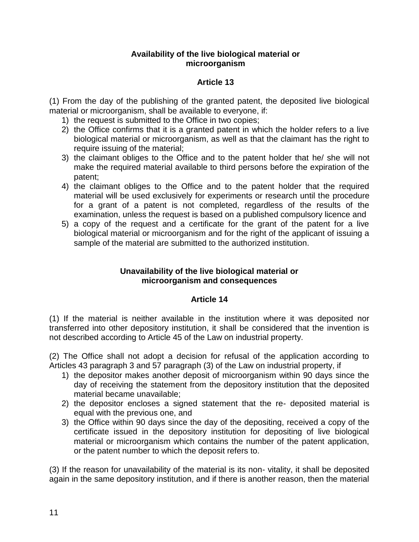### **Availability of the live biological material or microorganism**

# **Article 13**

(1) From the day of the publishing of the granted patent, the deposited live biological material or microorganism, shall be available to everyone, if:

- 1) the request is submitted to the Office in two copies;
- 2) the Office confirms that it is a granted patent in which the holder refers to a live biological material or microorganism, as well as that the claimant has the right to require issuing of the material;
- 3) the claimant obliges to the Office and to the patent holder that he/ she will not make the required material available to third persons before the expiration of the patent;
- 4) the claimant obliges to the Office and to the patent holder that the required material will be used exclusively for experiments or research until the procedure for a grant of a patent is not completed, regardless of the results of the examination, unless the request is based on a published compulsory licence and
- 5) a copy of the request and a certificate for the grant of the patent for a live biological material or microorganism and for the right of the applicant of issuing a sample of the material are submitted to the authorized institution.

### **Unavailability of the live biological material or microorganism and consequences**

# **Article 14**

(1) If the material is neither available in the institution where it was deposited nor transferred into other depository institution, it shall be considered that the invention is not described according to Article 45 of the Law on industrial property.

(2) The Office shall not adopt a decision for refusal of the application according to Articles 43 paragraph 3 and 57 paragraph (3) of the Law on industrial property, if

- 1) the depositor makes another deposit of microorganism within 90 days since the day of receiving the statement from the depository institution that the deposited material became unavailable;
- 2) the depositor encloses a signed statement that the re- deposited material is equal with the previous one, and
- 3) the Office within 90 days since the day of the depositing, received a copy of the certificate issued in the depository institution for depositing of live biological material or microorganism which contains the number of the patent application, or the patent number to which the deposit refers to.

(3) If the reason for unavailability of the material is its non- vitality, it shall be deposited again in the same depository institution, and if there is another reason, then the material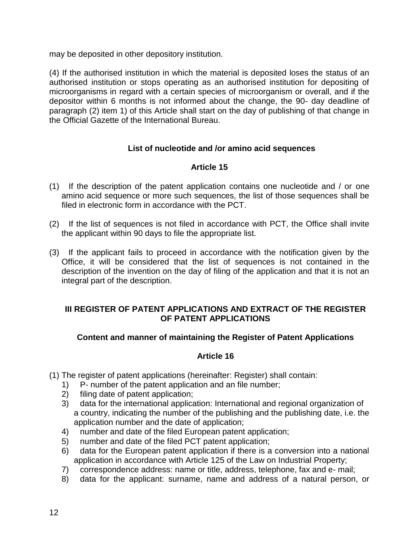may be deposited in other depository institution.

(4) If the authorised institution in which the material is deposited loses the status of an authorised institution or stops operating as an authorised institution for depositing of microorganisms in regard with a certain species of microorganism or overall, and if the depositor within 6 months is not informed about the change, the 90- day deadline of paragraph (2) item 1) of this Article shall start on the day of publishing of that change in the Official Gazette of the International Bureau.

## **List of nucleotide and /or amino acid sequences**

## **Article 15**

- (1) If the description of the patent application contains one nucleotide and / or one amino acid sequence or more such sequences, the list of those sequences shall be filed in electronic form in accordance with the PCT.
- (2) If the list of sequences is not filed in accordance with PCT, the Office shall invite the applicant within 90 days to file the appropriate list.
- (3) If the applicant fails to proceed in accordance with the notification given by the Office, it will be considered that the list of sequences is not contained in the description of the invention on the day of filing of the application and that it is not an integral part of the description.

### **III REGISTER OF PATENT APPLICATIONS AND EXTRACT OF THE REGISTER OF PATENT APPLICATIONS**

## **Content and manner of maintaining the Register of Patent Applications**

#### **Article 16**

- (1) The register of patent applications (hereinafter: Register) shall contain:
	- 1) P- number of the patent application and an file number;
	- 2) filing date of patent application;
	- 3) data for the international application: International and regional organization of a country, indicating the number of the publishing and the publishing date, i.e. the application number and the date of application;
	- 4) number and date of the filed European patent application;
	- 5) number and date of the filed PCT patent application;
	- 6) data for the European patent application if there is a conversion into a national application in accordance with Article 125 of the Law on Industrial Property;
	- 7) correspondence address: name or title, address, telephone, fax and e- mail;
	- 8) data for the applicant: surname, name and address of a natural person, or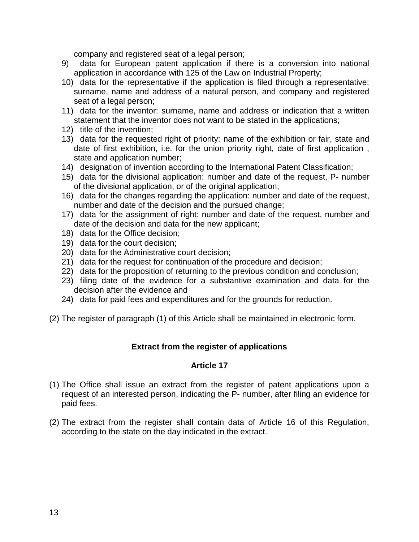company and registered seat of a legal person;

- 9) data for European patent application if there is a conversion into national application in accordance with 125 of the Law on Industrial Property;
- 10) data for the representative if the application is filed through a representative: surname, name and address of a natural person, and company and registered seat of a legal person;
- 11) data for the inventor: surname, name and address or indication that a written statement that the inventor does not want to be stated in the applications;
- 12) title of the invention;
- 13) data for the requested right of priority: name of the exhibition or fair, state and date of first exhibition, i.e. for the union priority right, date of first application , state and application number;
- 14) designation of invention according to the International Patent Classification;
- 15) data for the divisional application: number and date of the request, P- number of the divisional application, or of the original application;
- 16) data for the changes regarding the application: number and date of the request, number and date of the decision and the pursued change;
- 17) data for the assignment of right: number and date of the request, number and date of the decision and data for the new applicant;
- 18) data for the Office decision;
- 19) data for the court decision;
- 20) data for the Administrative court decision;
- 21) data for the request for continuation of the procedure and decision;
- 22) data for the proposition of returning to the previous condition and conclusion;
- 23) filing date of the evidence for a substantive examination and data for the decision after the evidence and
- 24) data for paid fees and expenditures and for the grounds for reduction.
- (2) The register of paragraph (1) of this Article shall be maintained in electronic form.

#### **Extract from the register of applications**

#### **Article 17**

- (1) The Office shall issue an extract from the register of patent applications upon a request of an interested person, indicating the P- number, after filing an evidence for paid fees.
- (2) The extract from the register shall contain data of Article 16 of this Regulation, according to the state on the day indicated in the extract.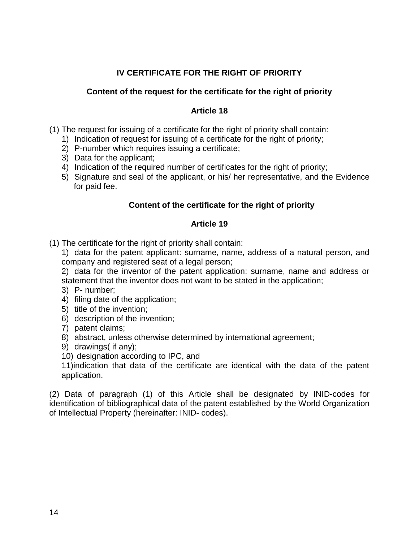# **IV CERTIFICATE FOR THE RIGHT OF PRIORITY**

### **Content of the request for the certificate for the right of priority**

### **Article 18**

(1) The request for issuing of a certificate for the right of priority shall contain:

- 1) Indication of request for issuing of a certificate for the right of priority;
- 2) P-number which requires issuing a certificate;
- 3) Data for the applicant;
- 4) Indication of the required number of certificates for the right of priority;
- 5) Signature and seal of the applicant, or his/ her representative, and the Evidence for paid fee.

### **Content of the certificate for the right of priority**

#### **Article 19**

- (1) The certificate for the right of priority shall contain:
	- 1) data for the patent applicant: surname, name, address of a natural person, and company and registered seat of a legal person;

2) data for the inventor of the patent application: surname, name and address or statement that the inventor does not want to be stated in the application;

- 3) P- number;
- 4) filing date of the application;
- 5) title of the invention;
- 6) description of the invention;
- 7) patent claims;
- 8) abstract, unless otherwise determined by international agreement;
- 9) drawings( if any);
- 10) designation according to IPC, and

11)indication that data of the certificate are identical with the data of the patent application.

(2) Data of paragraph (1) of this Article shall be designated by INID-codes for identification of bibliographical data of the patent established by the World Organization of Intellectual Property (hereinafter: INID- codes).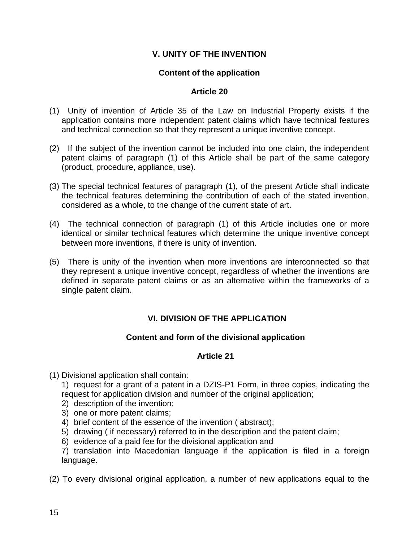## **V. UNITY OF THE INVENTION**

### **Content of the application**

#### **Article 20**

- (1) Unity of invention of Article 35 of the Law on Industrial Property exists if the application contains more independent patent claims which have technical features and technical connection so that they represent a unique inventive concept.
- (2) If the subject of the invention cannot be included into one claim, the independent patent claims of paragraph (1) of this Article shall be part of the same category (product, procedure, appliance, use).
- (3) The special technical features of paragraph (1), of the present Article shall indicate the technical features determining the contribution of each of the stated invention, considered as a whole, to the change of the current state of art.
- (4) The technical connection of paragraph (1) of this Article includes one or more identical or similar technical features which determine the unique inventive concept between more inventions, if there is unity of invention.
- (5) There is unity of the invention when more inventions are interconnected so that they represent a unique inventive concept, regardless of whether the inventions are defined in separate patent claims or as an alternative within the frameworks of a single patent claim.

## **VI. DIVISION OF THE APPLICATION**

#### **Content and form of the divisional application**

#### **Article 21**

- (1) Divisional application shall contain:
	- 1) request for a grant of a patent in a DZIS-P1 Form, in three copies, indicating the request for application division and number of the original application;
	- 2) description of the invention;
	- 3) one or more patent claims;
	- 4) brief content of the essence of the invention ( abstract);
	- 5) drawing ( if necessary) referred to in the description and the patent claim;
	- 6) evidence of a paid fee for the divisional application and
	- 7) translation into Macedonian language if the application is filed in a foreign language.
- (2) To every divisional original application, a number of new applications equal to the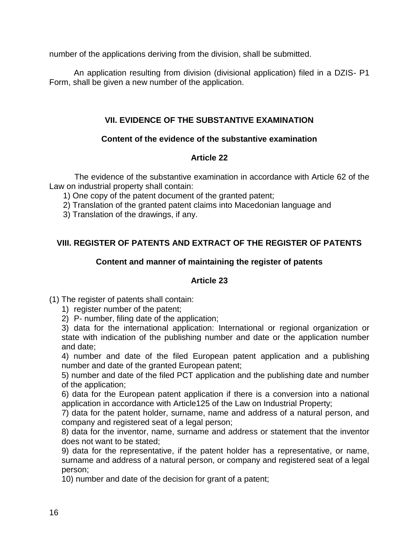number of the applications deriving from the division, shall be submitted.

An application resulting from division (divisional application) filed in a DZIS- P1 Form, shall be given a new number of the application.

## **VII. EVIDENCE OF THE SUBSTANTIVE EXAMINATION**

## **Content of the evidence of the substantive examination**

## **Article 22**

The evidence of the substantive examination in accordance with Article 62 of the Law on industrial property shall contain:

1) One copy of the patent document of the granted patent;

- 2) Translation of the granted patent claims into Macedonian language and
- 3) Translation of the drawings, if any.

# **VIII. REGISTER OF PATENTS AND EXTRACT OF THE REGISTER OF PATENTS**

## **Content and manner of maintaining the register of patents**

## **Article 23**

- (1) The register of patents shall contain:
	- 1) register number of the patent;
	- 2) P- number, filing date of the application;

3) data for the international application: International or regional organization or state with indication of the publishing number and date or the application number and date;

4) number and date of the filed European patent application and a publishing number and date of the granted European patent;

5) number and date of the filed PCT application and the publishing date and number of the application;

6) data for the European patent application if there is a conversion into a national application in accordance with Article125 of the Law on Industrial Property;

7) data for the patent holder, surname, name and address of a natural person, and company and registered seat of a legal person;

8) data for the inventor, name, surname and address or statement that the inventor does not want to be stated;

9) data for the representative, if the patent holder has a representative, or name, surname and address of a natural person, or company and registered seat of a legal person;

10) number and date of the decision for grant of a patent;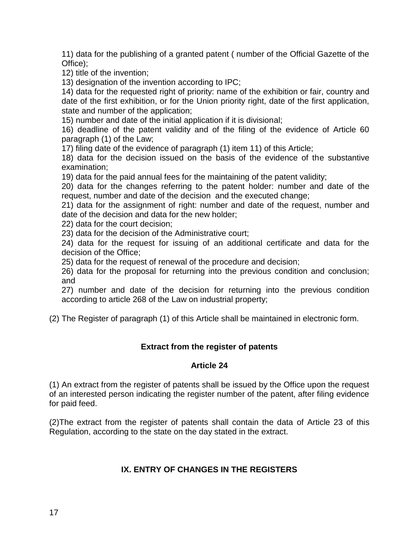11) data for the publishing of a granted patent ( number of the Official Gazette of the Office);

12) title of the invention;

13) designation of the invention according to IPC;

14) data for the requested right of priority: name of the exhibition or fair, country and date of the first exhibition, or for the Union priority right, date of the first application, state and number of the application;

15) number and date of the initial application if it is divisional;

16) deadline of the patent validity and of the filing of the evidence of Article 60 paragraph (1) of the Law;

17) filing date of the evidence of paragraph (1) item 11) of this Article;

18) data for the decision issued on the basis of the evidence of the substantive examination;

19) data for the paid annual fees for the maintaining of the patent validity;

20) data for the changes referring to the patent holder: number and date of the request, number and date of the decision and the executed change;

21) data for the assignment of right: number and date of the request, number and date of the decision and data for the new holder;

22) data for the court decision;

23) data for the decision of the Administrative court;

24) data for the request for issuing of an additional certificate and data for the decision of the Office;

25) data for the request of renewal of the procedure and decision;

26) data for the proposal for returning into the previous condition and conclusion; and

27) number and date of the decision for returning into the previous condition according to article 268 of the Law on industrial property;

(2) The Register of paragraph (1) of this Article shall be maintained in electronic form.

## **Extract from the register of patents**

#### **Article 24**

(1) An extract from the register of patents shall be issued by the Office upon the request of an interested person indicating the register number of the patent, after filing evidence for paid feed.

(2)The extract from the register of patents shall contain the data of Article 23 of this Regulation, according to the state on the day stated in the extract.

## **IX. ENTRY OF CHANGES IN THE REGISTERS**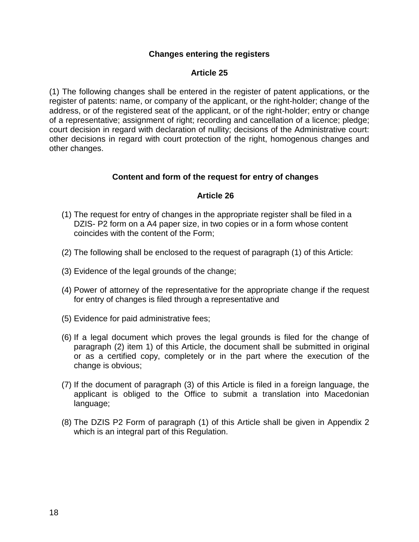### **Changes entering the registers**

### **Article 25**

(1) The following changes shall be entered in the register of patent applications, or the register of patents: name, or company of the applicant, or the right-holder; change of the address, or of the registered seat of the applicant, or of the right-holder; entry or change of a representative; assignment of right; recording and cancellation of a licence; pledge; court decision in regard with declaration of nullity; decisions of the Administrative court: other decisions in regard with court protection of the right, homogenous changes and other changes.

### **Content and form of the request for entry of changes**

#### **Article 26**

- (1) The request for entry of changes in the appropriate register shall be filed in a DZIS- P2 form on a A4 paper size, in two copies or in a form whose content coincides with the content of the Form;
- (2) The following shall be enclosed to the request of paragraph (1) of this Article:
- (3) Evidence of the legal grounds of the change;
- (4) Power of attorney of the representative for the appropriate change if the request for entry of changes is filed through a representative and
- (5) Evidence for paid administrative fees;
- (6) If a legal document which proves the legal grounds is filed for the change of paragraph (2) item 1) of this Article, the document shall be submitted in original or as a certified copy, completely or in the part where the execution of the change is obvious;
- (7) If the document of paragraph (3) of this Article is filed in a foreign language, the applicant is obliged to the Office to submit a translation into Macedonian language;
- (8) The DZIS P2 Form of paragraph (1) of this Article shall be given in Appendix 2 which is an integral part of this Regulation.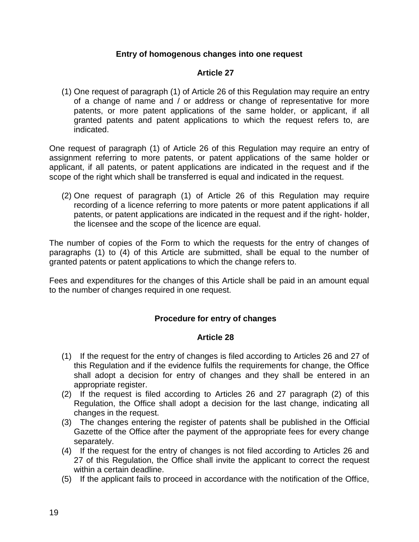### **Entry of homogenous changes into one request**

### **Article 27**

(1) One request of paragraph (1) of Article 26 of this Regulation may require an entry of a change of name and / or address or change of representative for more patents, or more patent applications of the same holder, or applicant, if all granted patents and patent applications to which the request refers to, are indicated.

One request of paragraph (1) of Article 26 of this Regulation may require an entry of assignment referring to more patents, or patent applications of the same holder or applicant, if all patents, or patent applications are indicated in the request and if the scope of the right which shall be transferred is equal and indicated in the request.

(2) One request of paragraph (1) of Article 26 of this Regulation may require recording of a licence referring to more patents or more patent applications if all patents, or patent applications are indicated in the request and if the right- holder, the licensee and the scope of the licence are equal.

The number of copies of the Form to which the requests for the entry of changes of paragraphs (1) to (4) of this Article are submitted, shall be equal to the number of granted patents or patent applications to which the change refers to.

Fees and expenditures for the changes of this Article shall be paid in an amount equal to the number of changes required in one request.

## **Procedure for entry of changes**

#### **Article 28**

- (1) If the request for the entry of changes is filed according to Articles 26 and 27 of this Regulation and if the evidence fulfils the requirements for change, the Office shall adopt a decision for entry of changes and they shall be entered in an appropriate register.
- (2) If the request is filed according to Articles 26 and 27 paragraph (2) of this Regulation, the Office shall adopt a decision for the last change, indicating all changes in the request.
- (3) The changes entering the register of patents shall be published in the Official Gazette of the Office after the payment of the appropriate fees for every change separately.
- (4) If the request for the entry of changes is not filed according to Articles 26 and 27 of this Regulation, the Office shall invite the applicant to correct the request within a certain deadline.
- (5) If the applicant fails to proceed in accordance with the notification of the Office,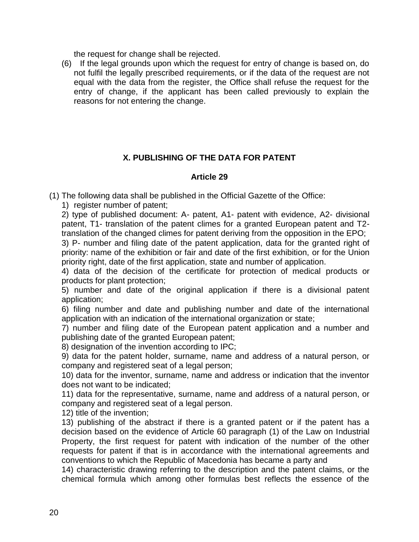the request for change shall be rejected.

(6) If the legal grounds upon which the request for entry of change is based on, do not fulfil the legally prescribed requirements, or if the data of the request are not equal with the data from the register, the Office shall refuse the request for the entry of change, if the applicant has been called previously to explain the reasons for not entering the change.

## **X. PUBLISHING OF THE DATA FOR PATENT**

### **Article 29**

(1) The following data shall be published in the Official Gazette of the Office:

1) register number of patent;

2) type of published document: A- patent, A1- patent with evidence, A2- divisional patent, T1- translation of the patent climes for a granted European patent and T2 translation of the changed climes for patent deriving from the opposition in the EPO;

3) P- number and filing date of the patent application, data for the granted right of priority: name of the exhibition or fair and date of the first exhibition, or for the Union priority right, date of the first application, state and number of application.

4) data of the decision of the certificate for protection of medical products or products for plant protection;

5) number and date of the original application if there is a divisional patent application;

6) filing number and date and publishing number and date of the international application with an indication of the international organization or state;

7) number and filing date of the European patent application and a number and publishing date of the granted European patent;

8) designation of the invention according to IPC;

9) data for the patent holder, surname, name and address of a natural person, or company and registered seat of a legal person;

10) data for the inventor, surname, name and address or indication that the inventor does not want to be indicated;

11) data for the representative, surname, name and address of a natural person, or company and registered seat of a legal person.

12) title of the invention;

13) publishing of the abstract if there is a granted patent or if the patent has a decision based on the evidence of Article 60 paragraph (1) of the Law on Industrial Property, the first request for patent with indication of the number of the other requests for patent if that is in accordance with the international agreements and conventions to which the Republic of Macedonia has became a party and

14) characteristic drawing referring to the description and the patent claims, or the chemical formula which among other formulas best reflects the essence of the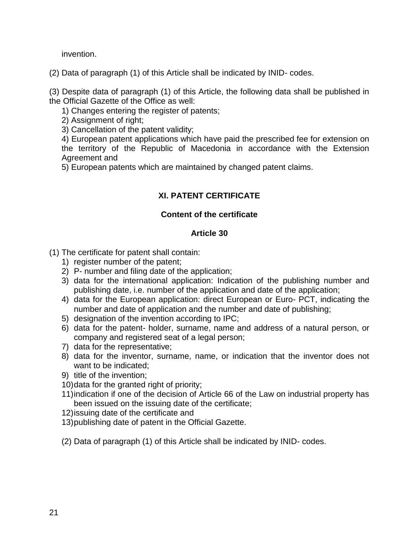invention.

(2) Data of paragraph (1) of this Article shall be indicated by INID- codes.

(3) Despite data of paragraph (1) of this Article, the following data shall be published in the Official Gazette of the Office as well:

1) Changes entering the register of patents;

2) Assignment of right;

3) Cancellation of the patent validity;

4) European patent applications which have paid the prescribed fee for extension on the territory of the Republic of Macedonia in accordance with the Extension Agreement and

5) European patents which are maintained by changed patent claims.

# **XI. PATENT CERTIFICATE**

## **Content of the certificate**

## **Article 30**

(1) The certificate for patent shall contain:

- 1) register number of the patent;
- 2) P- number and filing date of the application;
- 3) data for the international application: Indication of the publishing number and publishing date, i.e. number of the application and date of the application;
- 4) data for the European application: direct European or Euro- PCT, indicating the number and date of application and the number and date of publishing;
- 5) designation of the invention according to IPC;
- 6) data for the patent- holder, surname, name and address of a natural person, or company and registered seat of a legal person;
- 7) data for the representative;
- 8) data for the inventor, surname, name, or indication that the inventor does not want to be indicated;
- 9) title of the invention;
- 10)data for the granted right of priority;
- 11)indication if one of the decision of Article 66 of the Law on industrial property has been issued on the issuing date of the certificate;
- 12)issuing date of the certificate and
- 13)publishing date of patent in the Official Gazette.
- (2) Data of paragraph (1) of this Article shall be indicated by INID- codes.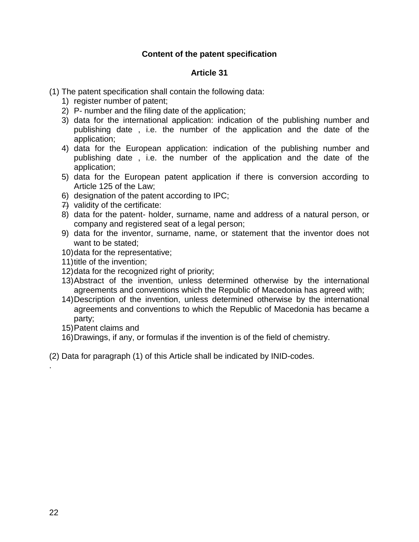### **Content of the patent specification**

### **Article 31**

- (1) The patent specification shall contain the following data:
	- 1) register number of patent;
	- 2) P- number and the filing date of the application;
	- 3) data for the international application: indication of the publishing number and publishing date , i.e. the number of the application and the date of the application;
	- 4) data for the European application: indication of the publishing number and publishing date , i.e. the number of the application and the date of the application;
	- 5) data for the European patent application if there is conversion according to Article 125 of the Law;
	- 6) designation of the patent according to IPC;
	- 7) validity of the certificate:
	- 8) data for the patent- holder, surname, name and address of a natural person, or company and registered seat of a legal person;
	- 9) data for the inventor, surname, name, or statement that the inventor does not want to be stated;
	- 10)data for the representative;
	- 11)title of the invention;
	- 12)data for the recognized right of priority;
	- 13)Abstract of the invention, unless determined otherwise by the international agreements and conventions which the Republic of Macedonia has agreed with;
	- 14)Description of the invention, unless determined otherwise by the international agreements and conventions to which the Republic of Macedonia has became a party;
	- 15)Patent claims and
	- 16)Drawings, if any, or formulas if the invention is of the field of chemistry.
- (2) Data for paragraph (1) of this Article shall be indicated by INID-codes.

.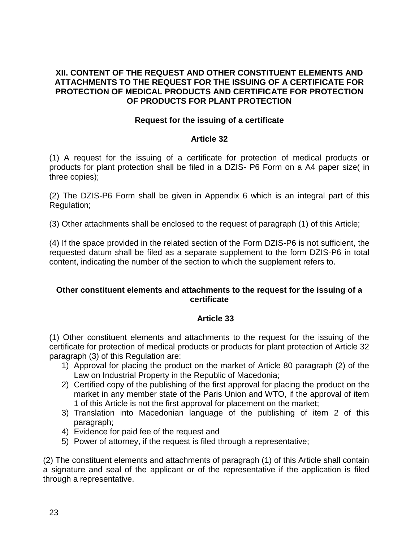### **XII. CONTENT OF THE REQUEST AND OTHER CONSTITUENT ELEMENTS AND ATTACHMENTS TO THE REQUEST FOR THE ISSUING OF A CERTIFICATE FOR PROTECTION OF MEDICAL PRODUCTS AND CERTIFICATE FOR PROTECTION OF PRODUCTS FOR PLANT PROTECTION**

### **Request for the issuing of a certificate**

### **Article 32**

(1) A request for the issuing of a certificate for protection of medical products or products for plant protection shall be filed in a DZIS- P6 Form on a A4 paper size( in three copies);

(2) The DZIS-P6 Form shall be given in Appendix 6 which is an integral part of this Regulation;

(3) Other attachments shall be enclosed to the request of paragraph (1) of this Article;

(4) If the space provided in the related section of the Form DZIS-P6 is not sufficient, the requested datum shall be filed as a separate supplement to the form DZIS-P6 in total content, indicating the number of the section to which the supplement refers to.

#### **Other constituent elements and attachments to the request for the issuing of a certificate**

#### **Article 33**

(1) Other constituent elements and attachments to the request for the issuing of the certificate for protection of medical products or products for plant protection of Article 32 paragraph (3) of this Regulation are:

- 1) Approval for placing the product on the market of Article 80 paragraph (2) of the Law on Industrial Property in the Republic of Macedonia;
- 2) Certified copy of the publishing of the first approval for placing the product on the market in any member state of the Paris Union and WTO, if the approval of item 1 of this Article is not the first approval for placement on the market;
- 3) Translation into Macedonian language of the publishing of item 2 of this paragraph;
- 4) Evidence for paid fee of the request and
- 5) Power of attorney, if the request is filed through a representative;

(2) The constituent elements and attachments of paragraph (1) of this Article shall contain a signature and seal of the applicant or of the representative if the application is filed through a representative.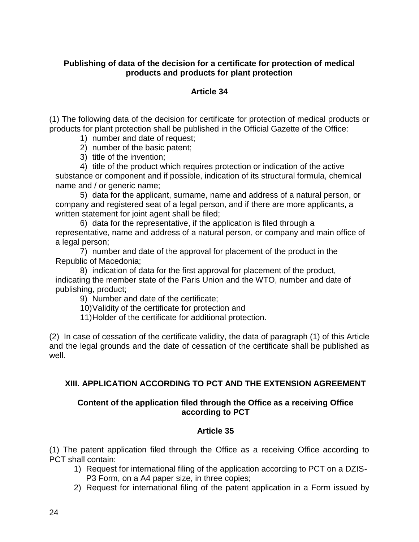### **Publishing of data of the decision for a certificate for protection of medical products and products for plant protection**

### **Article 34**

(1) The following data of the decision for certificate for protection of medical products or products for plant protection shall be published in the Official Gazette of the Office:

- 1) number and date of request;
- 2) number of the basic patent;
- 3) title of the invention;

4) title of the product which requires protection or indication of the active substance or component and if possible, indication of its structural formula, chemical name and / or generic name:

5) data for the applicant, surname, name and address of a natural person, or company and registered seat of a legal person, and if there are more applicants, a written statement for joint agent shall be filed;

6) data for the representative, if the application is filed through a representative, name and address of a natural person, or company and main office of a legal person;

7) number and date of the approval for placement of the product in the Republic of Macedonia;

8) indication of data for the first approval for placement of the product, indicating the member state of the Paris Union and the WTO, number and date of publishing, product;

9) Number and date of the certificate;

10)Validity of the certificate for protection and

11)Holder of the certificate for additional protection.

(2) In case of cessation of the certificate validity, the data of paragraph (1) of this Article and the legal grounds and the date of cessation of the certificate shall be published as well.

## **XIII. APPLICATION ACCORDING TO PCT AND THE EXTENSION AGREEMENT**

### **Content of the application filed through the Office as a receiving Office according to PCT**

## **Article 35**

(1) The patent application filed through the Office as a receiving Office according to PCT shall contain:

- 1) Request for international filing of the application according to PCT on a DZIS-P3 Form, on a A4 paper size, in three copies;
- 2) Request for international filing of the patent application in a Form issued by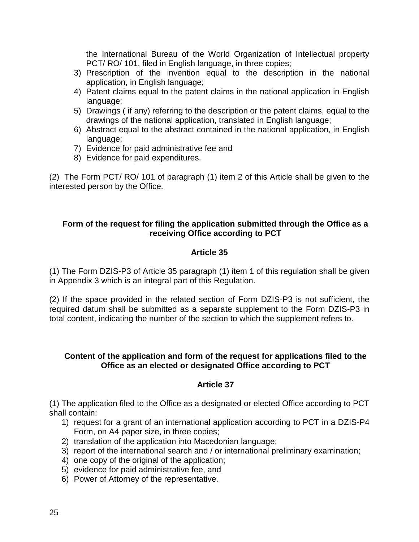the International Bureau of the World Organization of Intellectual property PCT/ RO/ 101, filed in English language, in three copies;

- 3) Prescription of the invention equal to the description in the national application, in English language;
- 4) Patent claims equal to the patent claims in the national application in English language;
- 5) Drawings ( if any) referring to the description or the patent claims, equal to the drawings of the national application, translated in English language;
- 6) Abstract equal to the abstract contained in the national application, in English language;
- 7) Evidence for paid administrative fee and
- 8) Evidence for paid expenditures.

(2) The Form PCT/ RO/ 101 of paragraph (1) item 2 of this Article shall be given to the interested person by the Office.

### **Form of the request for filing the application submitted through the Office as a receiving Office according to PCT**

## **Article 35**

(1) The Form DZIS-P3 of Article 35 paragraph (1) item 1 of this regulation shall be given in Appendix 3 which is an integral part of this Regulation.

(2) If the space provided in the related section of Form DZIS-P3 is not sufficient, the required datum shall be submitted as a separate supplement to the Form DZIS-P3 in total content, indicating the number of the section to which the supplement refers to.

#### **Content of the application and form of the request for applications filed to the Office as an elected or designated Office according to PCT**

## **Article 37**

(1) The application filed to the Office as a designated or elected Office according to PCT shall contain:

- 1) request for a grant of an international application according to PCT in a DZIS-P4 Form, on A4 paper size, in three copies;
- 2) translation of the application into Macedonian language;
- 3) report of the international search and / or international preliminary examination;
- 4) one copy of the original of the application;
- 5) evidence for paid administrative fee, and
- 6) Power of Attorney of the representative.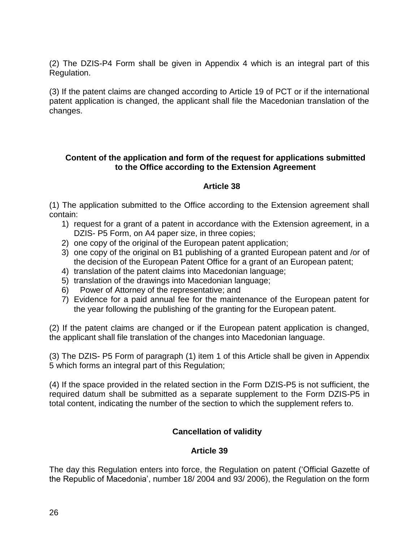(2) The DZIS-P4 Form shall be given in Appendix 4 which is an integral part of this Regulation.

(3) If the patent claims are changed according to Article 19 of PCT or if the international patent application is changed, the applicant shall file the Macedonian translation of the changes.

### **Content of the application and form of the request for applications submitted to the Office according to the Extension Agreement**

## **Article 38**

(1) The application submitted to the Office according to the Extension agreement shall contain:

- 1) request for a grant of a patent in accordance with the Extension agreement, in a DZIS- P5 Form, on A4 paper size, in three copies;
- 2) one copy of the original of the European patent application;
- 3) one copy of the original on B1 publishing of a granted European patent and /or of the decision of the European Patent Office for a grant of an European patent;
- 4) translation of the patent claims into Macedonian language;
- 5) translation of the drawings into Macedonian language;
- 6) Power of Attorney of the representative; and
- 7) Evidence for a paid annual fee for the maintenance of the European patent for the year following the publishing of the granting for the European patent.

(2) If the patent claims are changed or if the European patent application is changed, the applicant shall file translation of the changes into Macedonian language.

(3) The DZIS- P5 Form of paragraph (1) item 1 of this Article shall be given in Appendix 5 which forms an integral part of this Regulation;

(4) If the space provided in the related section in the Form DZIS-P5 is not sufficient, the required datum shall be submitted as a separate supplement to the Form DZIS-P5 in total content, indicating the number of the section to which the supplement refers to.

# **Cancellation of validity**

## **Article 39**

The day this Regulation enters into force, the Regulation on patent ('Official Gazette of the Republic of Macedonia', number 18/ 2004 and 93/ 2006), the Regulation on the form